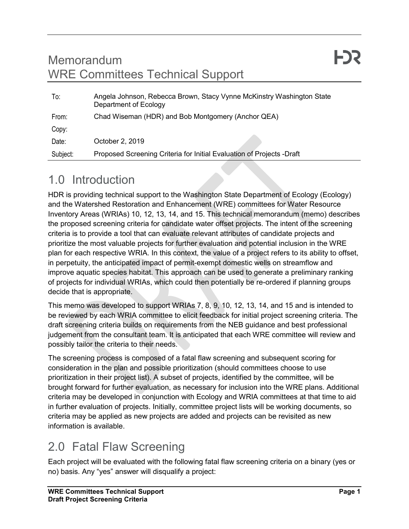#### Memorandum WRE Committees Technical Support

| To:      | Angela Johnson, Rebecca Brown, Stacy Vynne McKinstry Washington State<br>Department of Ecology |
|----------|------------------------------------------------------------------------------------------------|
| From:    | Chad Wiseman (HDR) and Bob Montgomery (Anchor QEA)                                             |
| Copy:    |                                                                                                |
| Date:    | October 2, 2019                                                                                |
| Subject: | Proposed Screening Criteria for Initial Evaluation of Projects -Draft                          |

### 1.0 Introduction

HDR is providing technical support to the Washington State Department of Ecology (Ecology) and the Watershed Restoration and Enhancement (WRE) committees for Water Resource Inventory Areas (WRIAs) 10, 12, 13, 14, and 15. This technical memorandum (memo) describes the proposed screening criteria for candidate water offset projects. The intent of the screening criteria is to provide a tool that can evaluate relevant attributes of candidate projects and prioritize the most valuable projects for further evaluation and potential inclusion in the WRE plan for each respective WRIA. In this context, the value of a project refers to its ability to offset, in perpetuity, the anticipated impact of permit-exempt domestic wells on streamflow and improve aquatic species habitat. This approach can be used to generate a preliminary ranking of projects for individual WRIAs, which could then potentially be re-ordered if planning groups decide that is appropriate.

This memo was developed to support WRIAs 7, 8, 9, 10, 12, 13, 14, and 15 and is intended to be reviewed by each WRIA committee to elicit feedback for initial project screening criteria. The draft screening criteria builds on requirements from the NEB guidance and best professional judgement from the consultant team. It is anticipated that each WRE committee will review and possibly tailor the criteria to their needs.

The screening process is composed of a fatal flaw screening and subsequent scoring for consideration in the plan and possible prioritization (should committees choose to use prioritization in their project list). A subset of projects, identified by the committee, will be brought forward for further evaluation, as necessary for inclusion into the WRE plans. Additional criteria may be developed in conjunction with Ecology and WRIA committees at that time to aid in further evaluation of projects. Initially, committee project lists will be working documents, so criteria may be applied as new projects are added and projects can be revisited as new information is available.

## 2.0 Fatal Flaw Screening

Each project will be evaluated with the following fatal flaw screening criteria on a binary (yes or no) basis. Any "yes" answer will disqualify a project: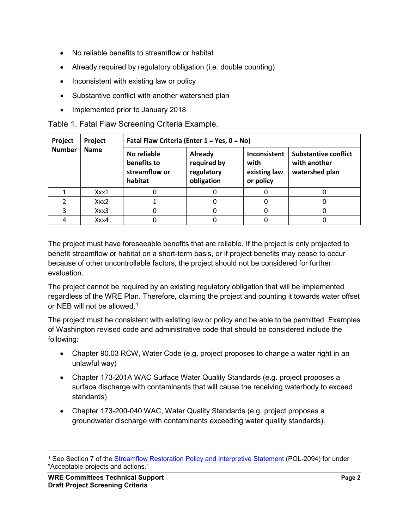- No reliable benefits to streamflow or habitat
- Already required by regulatory obligation (i.e. double counting)
- Inconsistent with existing law or policy
- Substantive conflict with another watershed plan
- Implemented prior to January 2018

Table 1. Fatal Flaw Screening Criteria Example.

| Project<br><b>Number</b> | Project         | Fatal Flaw Criteria (Enter 1 = Yes, 0 = No)            |                                                    |                                                   |                                                               |  |
|--------------------------|-----------------|--------------------------------------------------------|----------------------------------------------------|---------------------------------------------------|---------------------------------------------------------------|--|
|                          | <b>Name</b>     | No reliable<br>benefits to<br>streamflow or<br>habitat | Already<br>required by<br>regulatory<br>obligation | Inconsistent<br>with<br>existing law<br>or policy | <b>Substantive conflict</b><br>with another<br>watershed plan |  |
|                          | $X$ $X$ $X$ $1$ |                                                        |                                                    |                                                   |                                                               |  |
|                          | Xxx2            |                                                        |                                                    |                                                   |                                                               |  |
|                          | Xxx3            |                                                        |                                                    |                                                   |                                                               |  |
|                          | Xxx4            |                                                        |                                                    |                                                   |                                                               |  |

The project must have foreseeable benefits that are reliable. If the project is only projected to benefit streamflow or habitat on a short-term basis, or if project benefits may cease to occur because of other uncontrollable factors, the project should not be considered for further evaluation.

The project cannot be required by an existing regulatory obligation that will be implemented regardless of the WRE Plan. Therefore, claiming the project and counting it towards water offset or NEB will not be allowed.<sup>[1](#page-1-0)</sup>

The project must be consistent with existing law or policy and be able to be permitted. Examples of Washington revised code and administrative code that should be considered include the following:

- Chapter 90.03 RCW, Water Code (e.g. project proposes to change a water right in an unlawful way)
- Chapter 173-201A WAC Surface Water Quality Standards (e.g. project proposes a surface discharge with contaminants that will cause the receiving waterbody to exceed standards)
- Chapter 173-200-040 WAC, Water Quality Standards (e.g. project proposes a groundwater discharge with contaminants exceeding water quality standards).

<span id="page-1-0"></span><sup>&</sup>lt;sup>1</sup> See Section 7 of the **Streamflow Restoration Policy and Interpretive Statement** (POL-2094) for under "Acceptable projects and actions."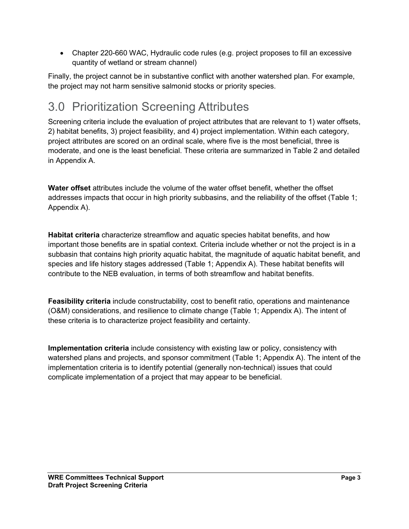• Chapter 220-660 WAC, Hydraulic code rules (e.g. project proposes to fill an excessive quantity of wetland or stream channel)

Finally, the project cannot be in substantive conflict with another watershed plan. For example, the project may not harm sensitive salmonid stocks or priority species.

## 3.0 Prioritization Screening Attributes

Screening criteria include the evaluation of project attributes that are relevant to 1) water offsets, 2) habitat benefits, 3) project feasibility, and 4) project implementation. Within each category, project attributes are scored on an ordinal scale, where five is the most beneficial, three is moderate, and one is the least beneficial. These criteria are summarized in Table 2 and detailed in Appendix A.

**Water offset** attributes include the volume of the water offset benefit, whether the offset addresses impacts that occur in high priority subbasins, and the reliability of the offset (Table 1; Appendix A).

**Habitat criteria** characterize streamflow and aquatic species habitat benefits, and how important those benefits are in spatial context. Criteria include whether or not the project is in a subbasin that contains high priority aquatic habitat, the magnitude of aquatic habitat benefit, and species and life history stages addressed (Table 1; Appendix A). These habitat benefits will contribute to the NEB evaluation, in terms of both streamflow and habitat benefits.

**Feasibility criteria** include constructability, cost to benefit ratio, operations and maintenance (O&M) considerations, and resilience to climate change (Table 1; Appendix A). The intent of these criteria is to characterize project feasibility and certainty.

**Implementation criteria** include consistency with existing law or policy, consistency with watershed plans and projects, and sponsor commitment (Table 1; Appendix A). The intent of the implementation criteria is to identify potential (generally non-technical) issues that could complicate implementation of a project that may appear to be beneficial.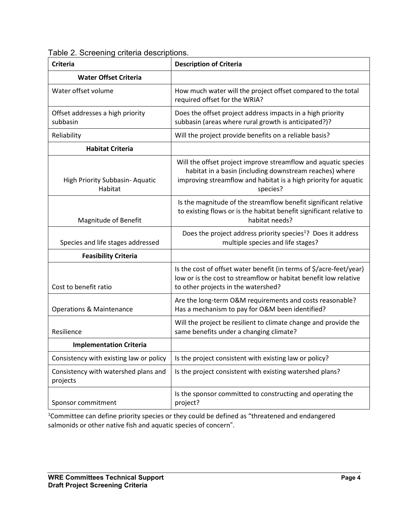| <b>Criteria</b>                                  | <b>Description of Criteria</b>                                                                                                                                                                           |
|--------------------------------------------------|----------------------------------------------------------------------------------------------------------------------------------------------------------------------------------------------------------|
| <b>Water Offset Criteria</b>                     |                                                                                                                                                                                                          |
| Water offset volume                              | How much water will the project offset compared to the total<br>required offset for the WRIA?                                                                                                            |
| Offset addresses a high priority<br>subbasin     | Does the offset project address impacts in a high priority<br>subbasin (areas where rural growth is anticipated?)?                                                                                       |
| Reliability                                      | Will the project provide benefits on a reliable basis?                                                                                                                                                   |
| <b>Habitat Criteria</b>                          |                                                                                                                                                                                                          |
| High Priority Subbasin-Aquatic<br>Habitat        | Will the offset project improve streamflow and aquatic species<br>habitat in a basin (including downstream reaches) where<br>improving streamflow and habitat is a high priority for aquatic<br>species? |
| Magnitude of Benefit                             | Is the magnitude of the streamflow benefit significant relative<br>to existing flows or is the habitat benefit significant relative to<br>habitat needs?                                                 |
| Species and life stages addressed                | Does the project address priority species <sup>1</sup> ? Does it address<br>multiple species and life stages?                                                                                            |
| <b>Feasibility Criteria</b>                      |                                                                                                                                                                                                          |
| Cost to benefit ratio                            | Is the cost of offset water benefit (in terms of \$/acre-feet/year)<br>low or is the cost to streamflow or habitat benefit low relative<br>to other projects in the watershed?                           |
| <b>Operations &amp; Maintenance</b>              | Are the long-term O&M requirements and costs reasonable?<br>Has a mechanism to pay for O&M been identified?                                                                                              |
| Resilience                                       | Will the project be resilient to climate change and provide the<br>same benefits under a changing climate?                                                                                               |
| <b>Implementation Criteria</b>                   |                                                                                                                                                                                                          |
| Consistency with existing law or policy          | Is the project consistent with existing law or policy?                                                                                                                                                   |
| Consistency with watershed plans and<br>projects | Is the project consistent with existing watershed plans?                                                                                                                                                 |
| Sponsor commitment                               | Is the sponsor committed to constructing and operating the<br>project?                                                                                                                                   |

Table 2. Screening criteria descriptions.

<sup>1</sup>Committee can define priority species or they could be defined as "threatened and endangered salmonids or other native fish and aquatic species of concern".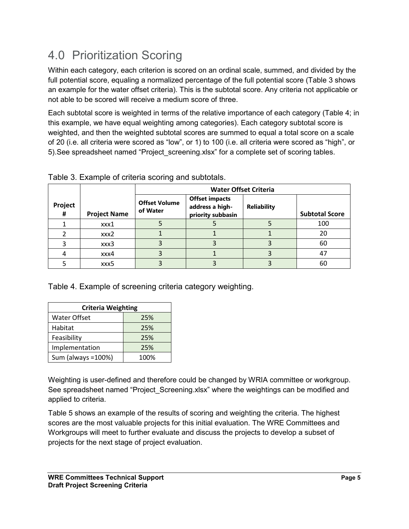# 4.0 Prioritization Scoring

Within each category, each criterion is scored on an ordinal scale, summed, and divided by the full potential score, equaling a normalized percentage of the full potential score (Table 3 shows an example for the water offset criteria). This is the subtotal score. Any criteria not applicable or not able to be scored will receive a medium score of three.

Each subtotal score is weighted in terms of the relative importance of each category (Table 4; in this example, we have equal weighting among categories). Each category subtotal score is weighted, and then the weighted subtotal scores are summed to equal a total score on a scale of 20 (i.e. all criteria were scored as "low", or 1) to 100 (i.e. all criteria were scored as "high", or 5).See spreadsheet named "Project\_screening.xlsx" for a complete set of scoring tables.

|              |                     | <b>Water Offset Criteria</b>     |                                                               |                    |                       |
|--------------|---------------------|----------------------------------|---------------------------------------------------------------|--------------------|-----------------------|
| Project<br># | <b>Project Name</b> | <b>Offset Volume</b><br>of Water | <b>Offset impacts</b><br>address a high-<br>priority subbasin | <b>Reliability</b> | <b>Subtotal Score</b> |
|              | xxx1                |                                  |                                                               |                    | 100                   |
|              | xxx2                |                                  |                                                               |                    | 20                    |
|              | xxx3                |                                  |                                                               |                    | 60                    |
|              | xxx4                |                                  |                                                               |                    | 47                    |
|              | xxx5                |                                  |                                                               |                    | 60                    |

Table 3. Example of criteria scoring and subtotals.

Table 4. Example of screening criteria category weighting.

| <b>Criteria Weighting</b> |      |  |  |
|---------------------------|------|--|--|
| Water Offset              | 25%  |  |  |
| Habitat                   | 25%  |  |  |
| Feasibility               | 25%  |  |  |
| Implementation            | 25%  |  |  |
| Sum (always = 100%)       | 100% |  |  |

Weighting is user-defined and therefore could be changed by WRIA committee or workgroup. See spreadsheet named "Project Screening.xlsx" where the weightings can be modified and applied to criteria.

Table 5 shows an example of the results of scoring and weighting the criteria. The highest scores are the most valuable projects for this initial evaluation. The WRE Committees and Workgroups will meet to further evaluate and discuss the projects to develop a subset of projects for the next stage of project evaluation.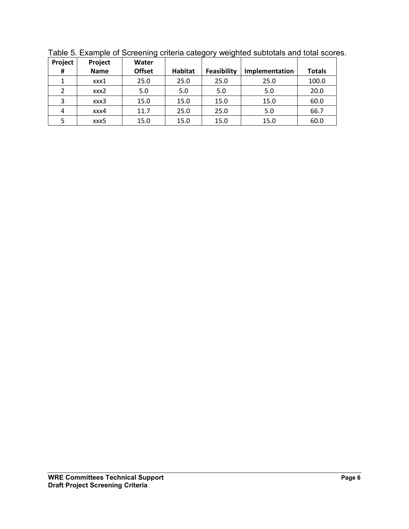| Project | Project     | Water         |                | ີ           |                |               |
|---------|-------------|---------------|----------------|-------------|----------------|---------------|
| Ħ       | <b>Name</b> | <b>Offset</b> | <b>Habitat</b> | Feasibility | Implementation | <b>Totals</b> |
|         | xxx1        | 25.0          | 25.0           | 25.0        | 25.0           | 100.0         |
| 2       | xxx2        | 5.0           | 5.0            | 5.0         | 5.0            | 20.0          |
| 3       | xxx3        | 15.0          | 15.0           | 15.0        | 15.0           | 60.0          |
| 4       | xxx4        | 11.7          | 25.0           | 25.0        | 5.0            | 66.7          |
|         | xxx5        | 15.0          | 15.0           | 15.0        | 15.0           | 60.0          |

Table 5. Example of Screening criteria category weighted subtotals and total scores.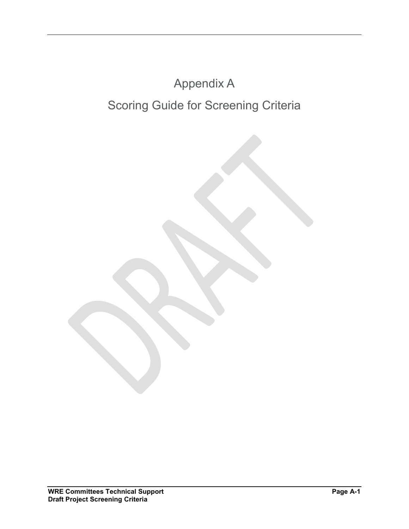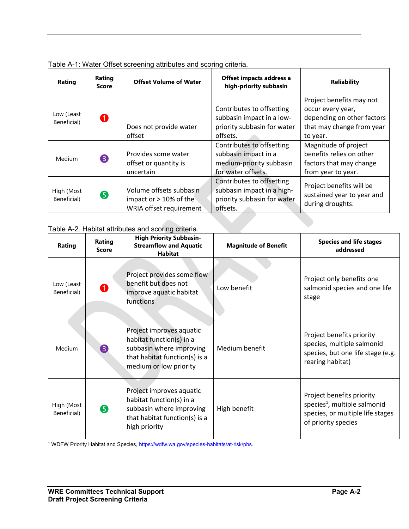| Rating                    | Rating<br><b>Score</b> | <b>Offset Volume of Water</b>                                                   | Offset impacts address a<br>high-priority subbasin                                                  | <b>Reliability</b>                                                                                                   |
|---------------------------|------------------------|---------------------------------------------------------------------------------|-----------------------------------------------------------------------------------------------------|----------------------------------------------------------------------------------------------------------------------|
| Low (Least<br>Beneficial) | $\mathbf 0$            | Does not provide water<br>offset                                                | Contributes to offsetting<br>subbasin impact in a low-<br>priority subbasin for water<br>offsets.   | Project benefits may not<br>occur every year,<br>depending on other factors<br>that may change from year<br>to year. |
| Medium                    | 8                      | Provides some water<br>offset or quantity is<br>uncertain                       | Contributes to offsetting<br>subbasin impact in a<br>medium-priority subbasin<br>for water offsets. | Magnitude of project<br>benefits relies on other<br>factors that may change<br>from year to year.                    |
| High (Most<br>Beneficial) | 6                      | Volume offsets subbasin<br>impact or $> 10\%$ of the<br>WRIA offset requirement | Contributes to offsetting<br>subbasin impact in a high-<br>priority subbasin for water<br>offsets.  | Project benefits will be<br>sustained year to year and<br>during droughts.                                           |

Table A-1: Water Offset screening attributes and scoring criteria.

#### Table A-2. Habitat attributes and scoring criteria.

| Rating                    | Rating<br><b>Score</b> | <b>High Priority Subbasin-</b><br><b>Streamflow and Aquatic</b><br><b>Habitat</b>                                                           | <b>Magnitude of Benefit</b> | <b>Species and life stages</b><br>addressed                                                                                      |
|---------------------------|------------------------|---------------------------------------------------------------------------------------------------------------------------------------------|-----------------------------|----------------------------------------------------------------------------------------------------------------------------------|
| Low (Least<br>Beneficial) |                        | Project provides some flow<br>benefit but does not<br>improve aquatic habitat<br>functions                                                  | Low benefit                 | Project only benefits one<br>salmonid species and one life<br>stage                                                              |
| Medium                    | ❸                      | Project improves aquatic<br>habitat function(s) in a<br>subbasin where improving<br>that habitat function(s) is a<br>medium or low priority | Medium benefit              | Project benefits priority<br>species, multiple salmonid<br>species, but one life stage (e.g.<br>rearing habitat)                 |
| High (Most<br>Beneficial) | 6                      | Project improves aquatic<br>habitat function(s) in a<br>subbasin where improving<br>that habitat function(s) is a<br>high priority          | High benefit                | Project benefits priority<br>species <sup>1</sup> , multiple salmonid<br>species, or multiple life stages<br>of priority species |

<sup>1</sup> WDFW Priority Habitat and Species, [https://wdfw.wa.gov/species-habitats/at-risk/phs.](https://wdfw.wa.gov/species-habitats/at-risk/phs)